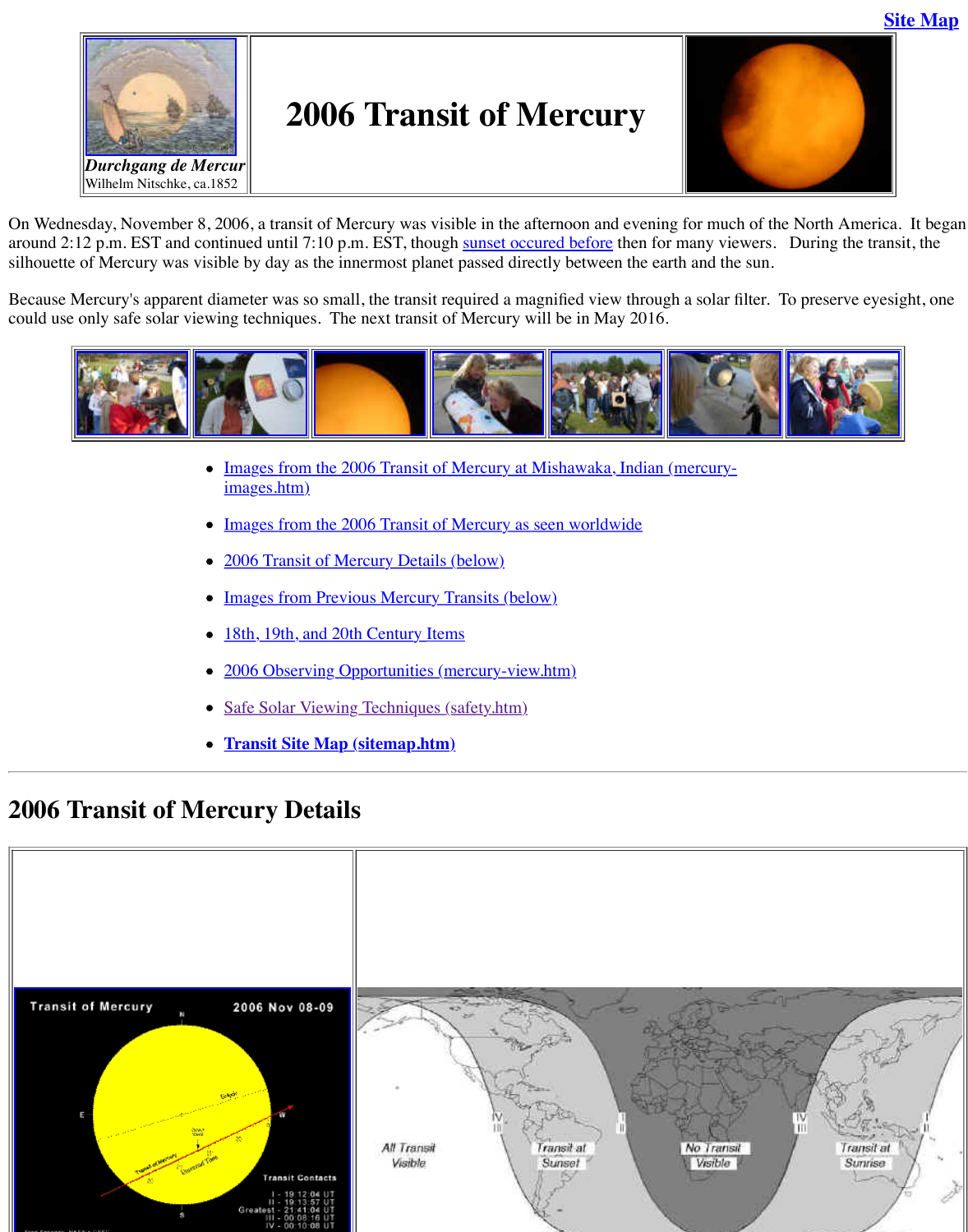

- [Im](http://old.transitofvenus.org/mercury_transit_096.JPG)ages from the 2006 Transit of Mercury at Mishawaka, Indian images.htm)
- Images from the 2006 Transit of Mercury as seen worldwide
- 2006 Transit of Mercury Details (below)
- Images from Previous Mercury Transits (below)
- 18th, 19th, and 20th Century Item[s](http://sunearth.gsfc.nasa.gov/eclipse/OH/tran/TM2006map.GIF)
- 2006 Observing Opportunities (mercury-view.htm)
- Safe Solar Viewing Techniques (safety.htm)
- **Transit Site [Map \(sitemap.h](http://old.transitofvenus.org/mercury03157.JPG)[tm\)](http://old.transitofvenus.org/mercury03179.JPG)**

### **2006 [Transit of](http://old.transitofvenus.org/mercury03178.JPG) [Mercury De](http://old.transitofvenus.org/mercury03152.JPG)tails**

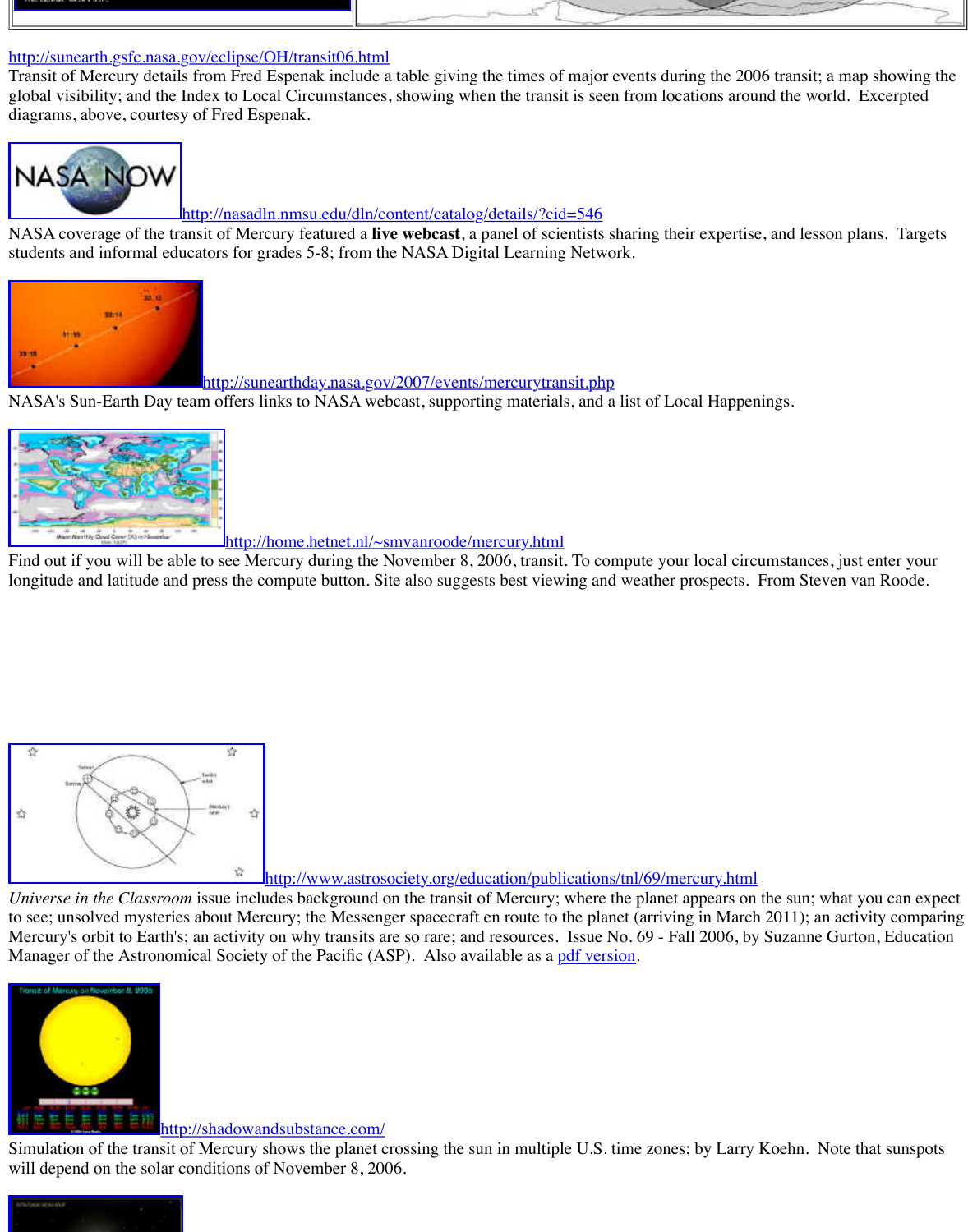[http://sunearthday.nas](http://old.transitofvenus.org/phm/mercury-espenak.GIF)a.gov/2007/events/mercurytransit.php

NASA's Sun-Earth Day team offers links to NASA webcast, supporting materials, and a list of



http://home.hetnet.nl/~smvanroode/mercury.html

[Find out if you will be able to see Mercury during the November 8, 2006, transit. To co](http://nasadln.nmsu.edu/dln/content/catalog/details/?cid=546)mpute longitude and latitude and press the compute button. Site also suggests best viewing and weather prospects. From  $\alpha$ 



http://www.astrosociety.org/education/publications/tnl/69

*Universe in the Classroom* issue includes background on the transit of Mercury; where the planet [to see; unsolved mysteries about Mercury; the Messenger spacecraft en route to t](http://home.hetnet.nl/~smvanroode/mercury.html)he planet (arr Mercury's orbit to Earth's; an activity on why transits are so rare; and resources. Issue No. 69 Manager of the Astronomical Society of the Pacific (ASP). Also available as a pdf version.



#### http://shadowandsubstance.com/

[Simulation of the transit of Mercury shows the planet crossing the sun in multiple U.S. time zones; by Larry](http://www.astrosociety.org/education/publications/tnl/69/mercury.html) Ko will depend on the solar conditions of November 8, 2006.

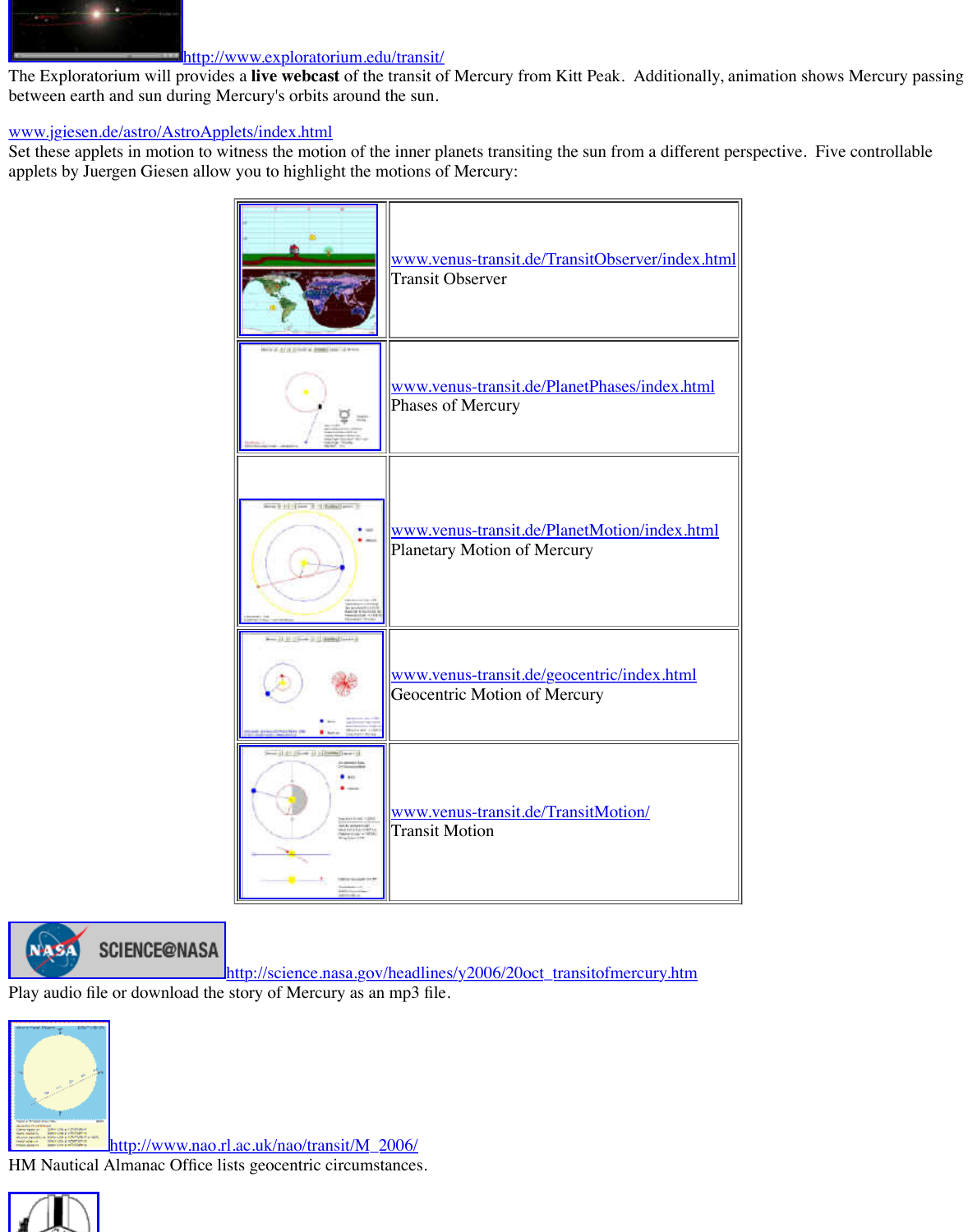



**SCIENCE@NASA** 

h[ttp://science.nasa.gov/](http://www.venus-transit.de/PlanetMotion/index.html)headlines/y2006/20oct\_transitofmercur

Play audio file or download the story of Mercury as an mp3 file.



http://www.nao.rl.[ac.uk/nao/transit/M\\_2](http://www.venus-transit.de/TransitMotion/)006/ HM Nautical Almanac Office lists geocentric circumstances.

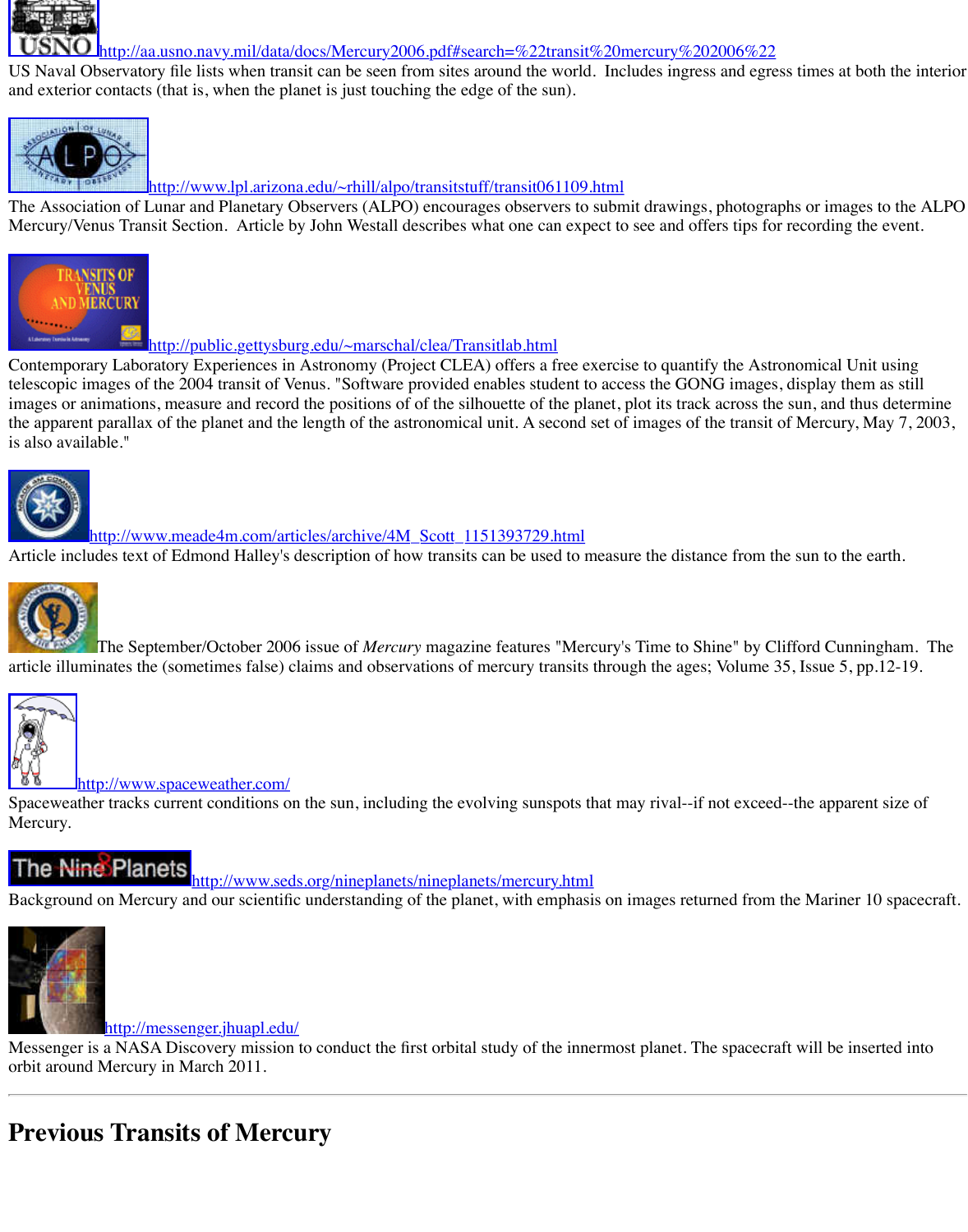telescopic images of the 2004 transit of Venus. "Software provided enables student to access the images or animations, measure and record the positions of of the silhouette of the planet, plot it the apparent parallax of the planet and the length of the astronomical unit. A second set of ima is also available."



http://www.meade4m.com/articles/archive/4M\_Scott\_1151393729.html

[Article includes text of Edmond Halley's description of how transits can be used to measu](http://www.lpl.arizona.edu/~rhill/alpo/transitstuff/transit061109.html)re the distance from the sun to the earth.



The September/October 2006 issue of *Mercury* magazine features "Mercury's Tin [article illuminates the \(sometimes false\) claims and observations of mercury tran](http://public.gettysburg.edu/~marschal/clea/Transitlab.html)sits through the ages of  $\mu$ 



http://www.spaceweather.com/

Spaceweather tracks current conditions on the sun, including the evolving sunspots that may ri Mercury.

The Nine Planets http://www.seds.org/nineplanets/nineplanets/mercury.html

[Background on Mercury and our scientific understanding of the planet, with emphas](http://www.meade4m.com/articles/archive/4M_Scott_1151393729.html)is on image



### http://messenger.jhuapl.edu/

Messenger is a NASA Discovery mission to conduct the first orbital study of the innermost pla orbit around Mercury in March 2011.

# **[Previous Transits of Merc](http://www.spaceweather.com/)ury**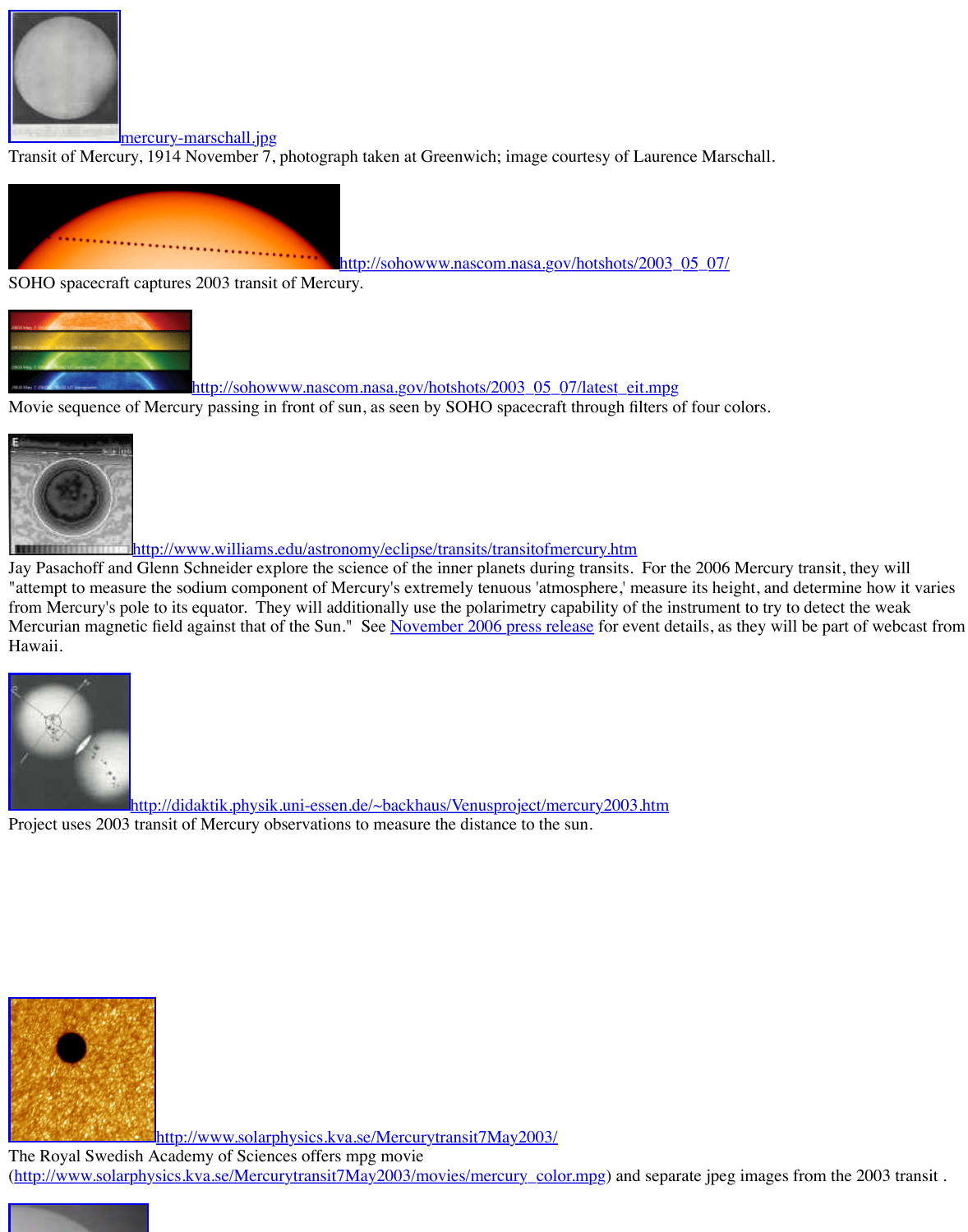http://sohowww.nascom.nasa.gov/hotshots/2003\_05\_07/latest\_eit.m

[Movie sequence of Mercury passing in](http://old.transitofvenus.org/mercury-marschall.jpg) front of sun, as seen by SOHO spacecraft through filter



http://www.williams.edu/astronomy/eclipse/transits/transitofmercury.htm

Jay Pasachoff and Glenn Schneider explore the science of the inner planets during transits. For "attempt to measure the sodium component of Mercury's extremely tenuous 'atmosphere,' mea from Mercury's pole to its equator. They will additionally use the polarimetry capability of the Mercurian magnetic field against that of the Sun." See November 2006 press release for event Hawaii.

![](_page_4_Picture_5.jpeg)

http://didaktik.physik.uni-essen.de/~backhaus/Venusproject/mercury2003.htm [Project uses 2003 transit of Mercury observations to measure the distance to the sun.](http://www.williams.edu/astronomy/eclipse/transits/transitofmercury.htm)

![](_page_4_Picture_7.jpeg)

http://www.solarphysics.kva.se/Mercurytransit7May2003/

The Royal Swedish Academy of Sciences offers mpg movie (http://www.solarphysics.kva.se/Mercurytransit7May2003/movies/mercury\_color.mpg) and se

![](_page_4_Picture_10.jpeg)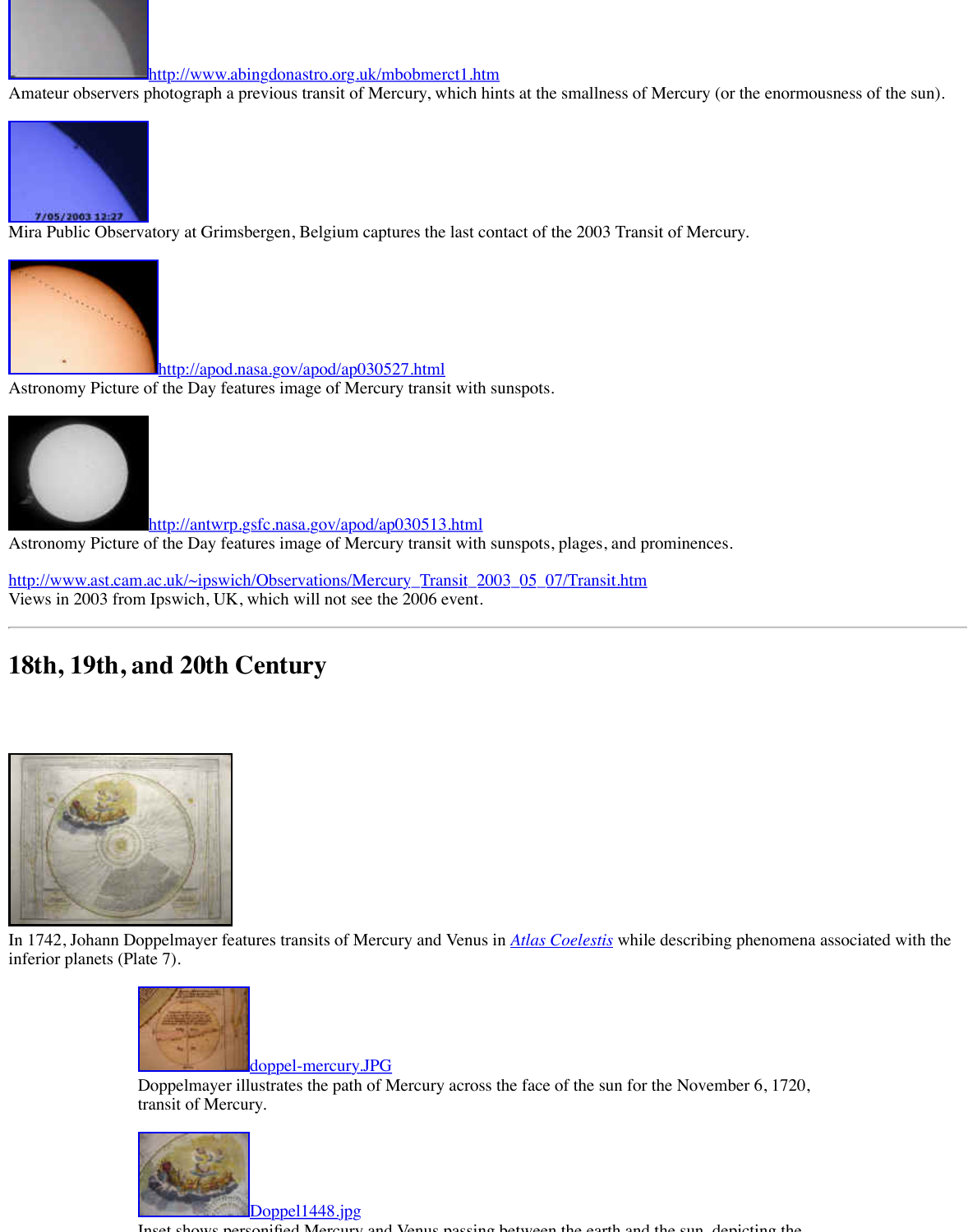[Astronomy Picture of the Day features image of Mercury transit with su](http://www.abingdonastro.org.uk/mbobmerct1.htm)nspots.

![](_page_5_Picture_1.jpeg)

http://antwrp.gsfc.nasa.gov/apod/ap030513.html

[Astronomy Picture o](http://www.xs4all.nl/~carlkop/mercurius/transit.html)f the Day features image of Mercury transit with sunspots, plages, and prominent

http://www.ast.cam.ac.uk/~ipswich/Observations/Mercury\_Transit\_2003\_05\_07/Transit.htm Views in 2003 from Ipswich, UK, which will not see the 2006 event.

# **[18th, 19th, and 20th Century](http://apod.nasa.gov/apod/ap030527.html)**

![](_page_5_Picture_6.jpeg)

In 1742, Johann Doppelmayer features transits of Mercury and Venus in *Atlas Coelestis* while [inferior planets \(Plate 7\).](http://www.ast.cam.ac.uk/~ipswich/Observations/Mercury_Transit_2003_05_07/Transit.htm) 

![](_page_5_Picture_8.jpeg)

doppel-mercury.JPG

Doppelmayer illustrates the path of Mercury across the face of the sun for the transit of Mercury.

![](_page_5_Picture_11.jpeg)

Doppel1448.jpg

 $\sum_{i=1}^{\infty}$  Mercury and Venus passing between the earth and the sun, depending the sun, depending the sun, depending the sun, depending the sun, depending the sun, depending the sun, depending to suppose the sun, depen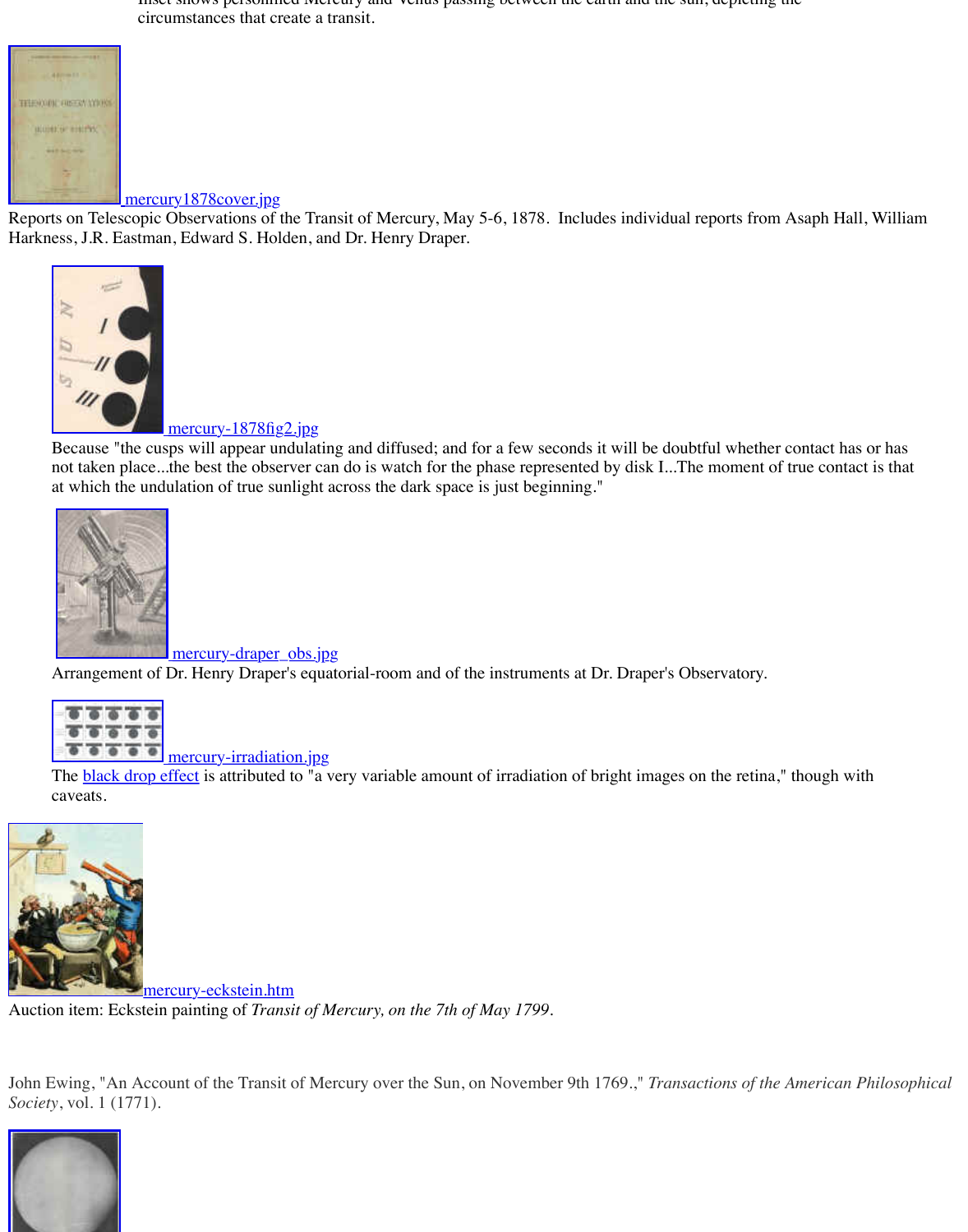![](_page_6_Picture_0.jpeg)

### mercury-1878fig2.jpg

[Because "the cusps will appear un](http://old.transitofvenus.org/mercury-1878cover.jpg)dulating and diffused; and for a few seconds it will be not taken place...the best the observer can do is watch for the phase represented by disk at which the undulation of true sunlight across the dark space is just beginning."

![](_page_6_Picture_3.jpeg)

<u>mercury-draper\_obs.jpg</u>

[Arrangement of Dr. Henry Draper's equ](http://old.transitofvenus.org/mercury-1878fig2.jpg)atorial-room and of the instruments at Dr. Drape

![](_page_6_Picture_6.jpeg)

mercury-irradiation.jpg

The **black drop effect** is attributed to "a very variable amount of irradiation of bright images on the retina," caveats.

![](_page_6_Picture_9.jpeg)

mercury-eckstein.htm

Auctio[n item: Eckstein painting of](http://old.transitofvenus.org/mercury-draper_obs.jpg) *Transit of Mercury, on the 7th of May 1799.*

John [Ewing, "An Account of the Transit of Me](http://old.transitofvenus.org/mercury-irradiation.jpg)rcury over the Sun, on November 9th 1769.," *Ti Society*, vol. 1 (1771).

![](_page_6_Picture_13.jpeg)